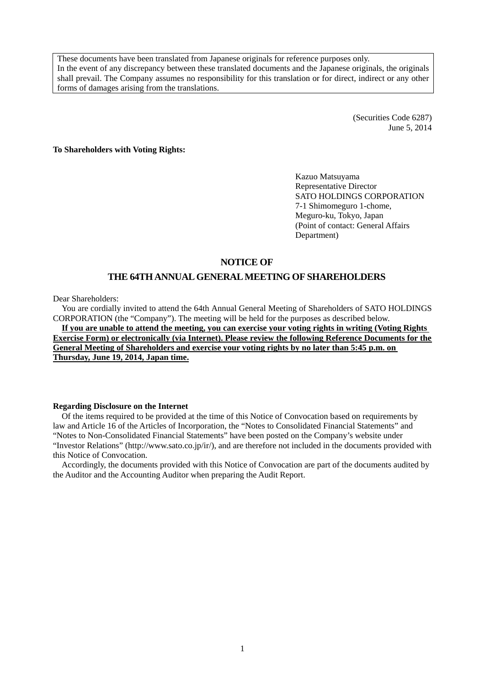These documents have been translated from Japanese originals for reference purposes only. In the event of any discrepancy between these translated documents and the Japanese originals, the originals shall prevail. The Company assumes no responsibility for this translation or for direct, indirect or any other forms of damages arising from the translations.

> (Securities Code 6287) June 5, 2014

**To Shareholders with Voting Rights:** 

Kazuo Matsuyama Representative Director SATO HOLDINGS CORPORATION 7-1 Shimomeguro 1-chome, Meguro-ku, Tokyo, Japan (Point of contact: General Affairs Department)

### **NOTICE OF**

### **THE 64TH ANNUAL GENERAL MEETING OF SHAREHOLDERS**

Dear Shareholders:

You are cordially invited to attend the 64th Annual General Meeting of Shareholders of SATO HOLDINGS CORPORATION (the "Company"). The meeting will be held for the purposes as described below.

**If you are unable to attend the meeting, you can exercise your voting rights in writing (Voting Rights Exercise Form) or electronically (via Internet). Please review the following Reference Documents for the General Meeting of Shareholders and exercise your voting rights by no later than 5:45 p.m. on Thursday, June 19, 2014, Japan time.** 

#### **Regarding Disclosure on the Internet**

Of the items required to be provided at the time of this Notice of Convocation based on requirements by law and Article 16 of the Articles of Incorporation, the "Notes to Consolidated Financial Statements" and "Notes to Non-Consolidated Financial Statements" have been posted on the Company's website under "Investor Relations" (http://www.sato.co.jp/ir/), and are therefore not included in the documents provided with this Notice of Convocation.

Accordingly, the documents provided with this Notice of Convocation are part of the documents audited by the Auditor and the Accounting Auditor when preparing the Audit Report.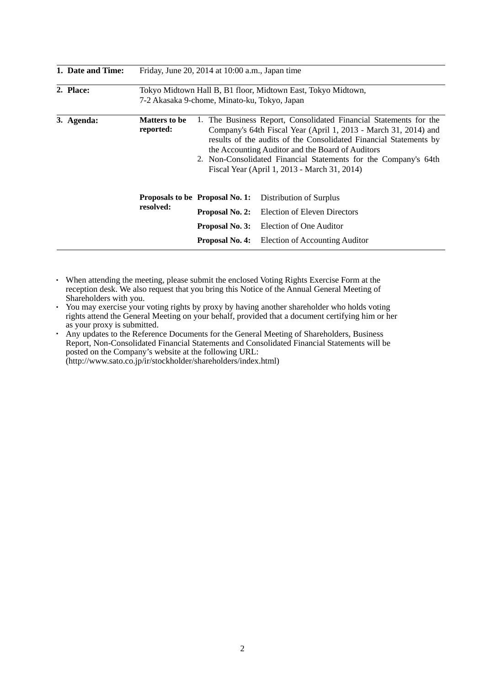| 1. Date and Time: | Friday, June 20, 2014 at $10:00$ a.m., Japan time                                                            |                                                                                                                                                                                                                                                                                                                                                                                  |                                |  |
|-------------------|--------------------------------------------------------------------------------------------------------------|----------------------------------------------------------------------------------------------------------------------------------------------------------------------------------------------------------------------------------------------------------------------------------------------------------------------------------------------------------------------------------|--------------------------------|--|
| 2. Place:         | Tokyo Midtown Hall B, B1 floor, Midtown East, Tokyo Midtown,<br>7-2 Akasaka 9-chome, Minato-ku, Tokyo, Japan |                                                                                                                                                                                                                                                                                                                                                                                  |                                |  |
| 3. Agenda:        | <b>Matters to be</b><br>reported:                                                                            | 1. The Business Report, Consolidated Financial Statements for the<br>Company's 64th Fiscal Year (April 1, 2013 - March 31, 2014) and<br>results of the audits of the Consolidated Financial Statements by<br>the Accounting Auditor and the Board of Auditors<br>2. Non-Consolidated Financial Statements for the Company's 64th<br>Fiscal Year (April 1, 2013 - March 31, 2014) |                                |  |
|                   |                                                                                                              | Proposals to be Proposal No. 1:                                                                                                                                                                                                                                                                                                                                                  | Distribution of Surplus        |  |
|                   | resolved:                                                                                                    | Proposal No. 2:<br>Election of Eleven Directors                                                                                                                                                                                                                                                                                                                                  |                                |  |
|                   |                                                                                                              | Proposal No. 3:<br>Election of One Auditor                                                                                                                                                                                                                                                                                                                                       |                                |  |
|                   |                                                                                                              | Proposal No. 4:                                                                                                                                                                                                                                                                                                                                                                  | Election of Accounting Auditor |  |

- ・ When attending the meeting, please submit the enclosed Voting Rights Exercise Form at the reception desk. We also request that you bring this Notice of the Annual General Meeting of Shareholders with you.
- You may exercise your voting rights by proxy by having another shareholder who holds voting rights attend the General Meeting on your behalf, provided that a document certifying him or her as your proxy is submitted.
- ・ Any updates to the Reference Documents for the General Meeting of Shareholders, Business Report, Non-Consolidated Financial Statements and Consolidated Financial Statements will be posted on the Company's website at the following URL: (http://www.sato.co.jp/ir/stockholder/shareholders/index.html)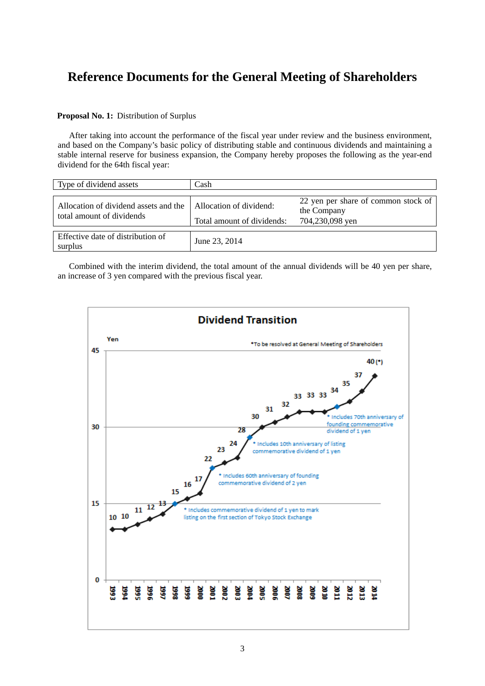# **Reference Documents for the General Meeting of Shareholders**

#### **Proposal No. 1:** Distribution of Surplus

After taking into account the performance of the fiscal year under review and the business environment, and based on the Company's basic policy of distributing stable and continuous dividends and maintaining a stable internal reserve for business expansion, the Company hereby proposes the following as the year-end dividend for the 64th fiscal year:

| Type of dividend assets                                            | Cash                                                  |                                                                       |  |
|--------------------------------------------------------------------|-------------------------------------------------------|-----------------------------------------------------------------------|--|
| Allocation of dividend assets and the<br>total amount of dividends | Allocation of dividend:<br>Total amount of dividends: | 22 yen per share of common stock of<br>the Company<br>704,230,098 yen |  |
| Effective date of distribution of<br>surplus                       | June 23, 2014                                         |                                                                       |  |

Combined with the interim dividend, the total amount of the annual dividends will be 40 yen per share, an increase of 3 yen compared with the previous fiscal year.

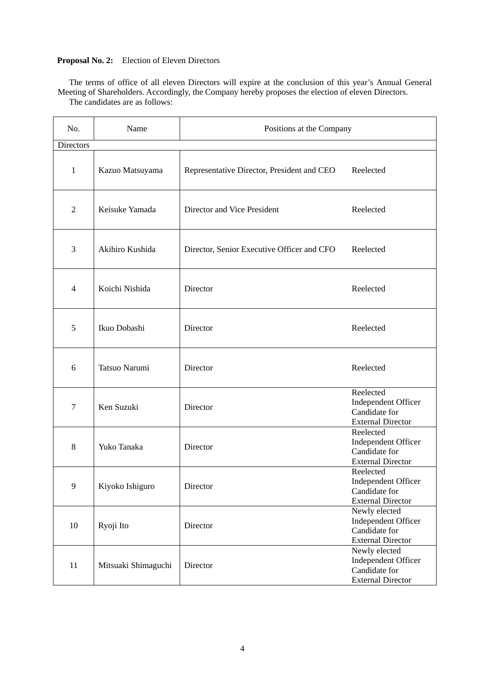#### **Proposal No. 2:** Election of Eleven Directors

The terms of office of all eleven Directors will expire at the conclusion of this year's Annual General Meeting of Shareholders. Accordingly, the Company hereby proposes the election of eleven Directors.

No. Name Name Positions at the Company Directors 1 | Kazuo Matsuyama | Representative Director, President and CEO Reelected 2 | Keisuke Yamada | Director and Vice President Reelected 3 Akihiro Kushida Director, Senior Executive Officer and CFO Reelected 4 Koichi Nishida Director Reelected 5 Ikuo Dobashi Director Reelected 6 Tatsuo Narumi Director Reelected 7 Ken Suzuki Director Reelected Independent Officer Candidate for External Director 8 Yuko Tanaka Director Reelected Independent Officer Candidate for External Director 9 Kiyoko Ishiguro Director Reelected Independent Officer Candidate for External Director 10 Ryoji Ito Director Newly elected Independent Officer Candidate for External Director 11 Mitsuaki Shimaguchi Director Newly elected Independent Officer Candidate for External Director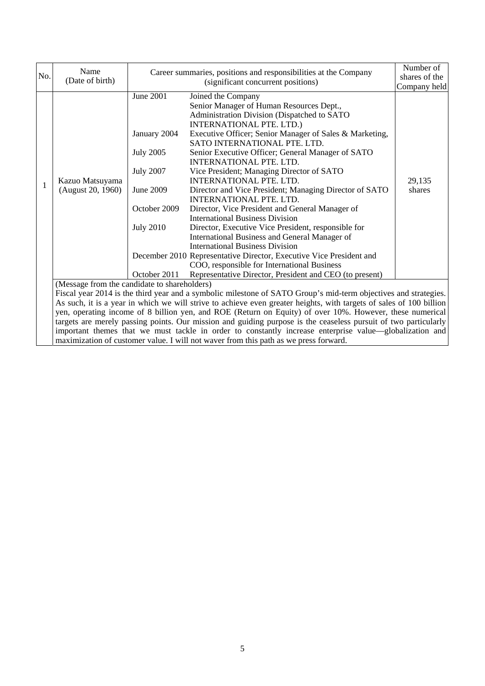|                                                                                                                 | Name              |                                              | Career summaries, positions and responsibilities at the Company                                                     |               |
|-----------------------------------------------------------------------------------------------------------------|-------------------|----------------------------------------------|---------------------------------------------------------------------------------------------------------------------|---------------|
| No.                                                                                                             | (Date of birth)   | (significant concurrent positions)           |                                                                                                                     | shares of the |
|                                                                                                                 |                   |                                              |                                                                                                                     | Company held  |
|                                                                                                                 |                   | <b>June 2001</b>                             | Joined the Company                                                                                                  |               |
|                                                                                                                 |                   |                                              | Senior Manager of Human Resources Dept.,                                                                            |               |
|                                                                                                                 |                   |                                              | Administration Division (Dispatched to SATO                                                                         |               |
|                                                                                                                 |                   |                                              | INTERNATIONAL PTE. LTD.)                                                                                            |               |
|                                                                                                                 |                   | January 2004                                 | Executive Officer; Senior Manager of Sales & Marketing,                                                             |               |
|                                                                                                                 |                   |                                              | SATO INTERNATIONAL PTE. LTD.                                                                                        |               |
|                                                                                                                 |                   | <b>July 2005</b>                             | Senior Executive Officer; General Manager of SATO                                                                   |               |
|                                                                                                                 |                   |                                              | <b>INTERNATIONAL PTE. LTD.</b>                                                                                      |               |
|                                                                                                                 |                   | <b>July 2007</b>                             | Vice President; Managing Director of SATO                                                                           |               |
| 1                                                                                                               | Kazuo Matsuyama   |                                              | <b>INTERNATIONAL PTE. LTD.</b>                                                                                      | 29,135        |
|                                                                                                                 | (August 20, 1960) | June 2009                                    | Director and Vice President; Managing Director of SATO                                                              | shares        |
|                                                                                                                 |                   |                                              | INTERNATIONAL PTE. LTD.                                                                                             |               |
|                                                                                                                 |                   | October 2009                                 | Director, Vice President and General Manager of                                                                     |               |
|                                                                                                                 |                   |                                              | <b>International Business Division</b>                                                                              |               |
|                                                                                                                 |                   | <b>July 2010</b>                             | Director, Executive Vice President, responsible for                                                                 |               |
|                                                                                                                 |                   |                                              | International Business and General Manager of                                                                       |               |
|                                                                                                                 |                   |                                              | <b>International Business Division</b>                                                                              |               |
|                                                                                                                 |                   |                                              | December 2010 Representative Director, Executive Vice President and                                                 |               |
|                                                                                                                 |                   |                                              | COO, responsible for International Business                                                                         |               |
|                                                                                                                 |                   | October 2011                                 | Representative Director, President and CEO (to present)                                                             |               |
|                                                                                                                 |                   | (Message from the candidate to shareholders) |                                                                                                                     |               |
| Fiscal year 2014 is the third year and a symbolic milestone of SATO Group's mid-term objectives and strategies. |                   |                                              |                                                                                                                     |               |
|                                                                                                                 |                   |                                              | As such, it is a year in which we will strive to achieve even greater heights, with targets of sales of 100 billion |               |
|                                                                                                                 |                   |                                              | yen, operating income of 8 billion yen, and ROE (Return on Equity) of over 10%. However, these numerical            |               |
|                                                                                                                 |                   |                                              | targets are merely passing points. Our mission and guiding purpose is the ceaseless pursuit of two particularly     |               |
|                                                                                                                 |                   |                                              | important themes that we must tackle in order to constantly increase enterprise value—globalization and             |               |
|                                                                                                                 |                   |                                              | maximization of customer value. I will not waver from this path as we press forward.                                |               |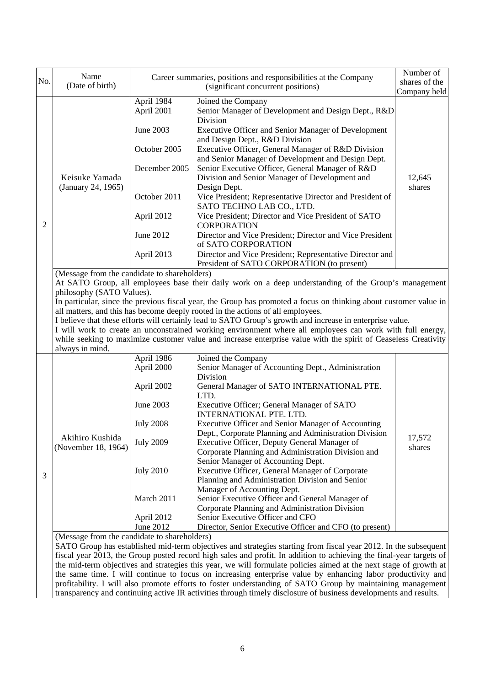| No. | Name                                                                                                       | Career summaries, positions and responsibilities at the Company |                                                                                                                                                                                                                             | Number of<br>shares of the |
|-----|------------------------------------------------------------------------------------------------------------|-----------------------------------------------------------------|-----------------------------------------------------------------------------------------------------------------------------------------------------------------------------------------------------------------------------|----------------------------|
|     | (Date of birth)                                                                                            | (significant concurrent positions)                              |                                                                                                                                                                                                                             | Company held               |
|     |                                                                                                            | April 1984<br>April 2001                                        | Joined the Company<br>Senior Manager of Development and Design Dept., R&D<br>Division                                                                                                                                       |                            |
|     |                                                                                                            | June 2003                                                       | Executive Officer and Senior Manager of Development<br>and Design Dept., R&D Division                                                                                                                                       |                            |
|     |                                                                                                            | October 2005                                                    | Executive Officer, General Manager of R&D Division<br>and Senior Manager of Development and Design Dept.                                                                                                                    |                            |
|     | Keisuke Yamada<br>(January 24, 1965)                                                                       | December 2005                                                   | Senior Executive Officer, General Manager of R&D<br>Division and Senior Manager of Development and<br>Design Dept.                                                                                                          | 12,645<br>shares           |
|     |                                                                                                            | October 2011                                                    | Vice President; Representative Director and President of<br>SATO TECHNO LAB CO., LTD.                                                                                                                                       |                            |
| 2   |                                                                                                            | April 2012                                                      | Vice President; Director and Vice President of SATO<br><b>CORPORATION</b>                                                                                                                                                   |                            |
|     |                                                                                                            | June 2012                                                       | Director and Vice President; Director and Vice President<br>of SATO CORPORATION                                                                                                                                             |                            |
|     |                                                                                                            | April 2013                                                      | Director and Vice President; Representative Director and<br>President of SATO CORPORATION (to present)                                                                                                                      |                            |
|     | (Message from the candidate to shareholders)                                                               |                                                                 | At SATO Group, all employees base their daily work on a deep understanding of the Group's management                                                                                                                        |                            |
|     | philosophy (SATO Values).                                                                                  |                                                                 |                                                                                                                                                                                                                             |                            |
|     |                                                                                                            |                                                                 | In particular, since the previous fiscal year, the Group has promoted a focus on thinking about customer value in                                                                                                           |                            |
|     |                                                                                                            |                                                                 | all matters, and this has become deeply rooted in the actions of all employees.                                                                                                                                             |                            |
|     |                                                                                                            |                                                                 | I believe that these efforts will certainly lead to SATO Group's growth and increase in enterprise value.                                                                                                                   |                            |
|     |                                                                                                            |                                                                 | I will work to create an unconstrained working environment where all employees can work with full energy,<br>while seeking to maximize customer value and increase enterprise value with the spirit of Ceaseless Creativity |                            |
|     | always in mind.                                                                                            |                                                                 |                                                                                                                                                                                                                             |                            |
|     |                                                                                                            | April 1986                                                      | Joined the Company                                                                                                                                                                                                          |                            |
|     |                                                                                                            | April 2000                                                      | Senior Manager of Accounting Dept., Administration                                                                                                                                                                          |                            |
|     |                                                                                                            |                                                                 | Division                                                                                                                                                                                                                    |                            |
|     |                                                                                                            | April 2002                                                      | General Manager of SATO INTERNATIONAL PTE.<br>LTD.                                                                                                                                                                          |                            |
|     |                                                                                                            | June 2003                                                       | Executive Officer; General Manager of SATO<br>INTERNATIONAL PTE. LTD.                                                                                                                                                       |                            |
|     |                                                                                                            | <b>July 2008</b>                                                | Executive Officer and Senior Manager of Accounting                                                                                                                                                                          |                            |
|     | Akihiro Kushida                                                                                            | <b>July 2009</b>                                                | Dept., Corporate Planning and Administration Division                                                                                                                                                                       | 17,572                     |
|     | (November 18, 1964)                                                                                        |                                                                 | Executive Officer, Deputy General Manager of<br>Corporate Planning and Administration Division and                                                                                                                          | shares                     |
|     |                                                                                                            |                                                                 | Senior Manager of Accounting Dept.                                                                                                                                                                                          |                            |
|     |                                                                                                            | <b>July 2010</b>                                                | Executive Officer, General Manager of Corporate                                                                                                                                                                             |                            |
| 3   |                                                                                                            |                                                                 | Planning and Administration Division and Senior                                                                                                                                                                             |                            |
|     |                                                                                                            |                                                                 | Manager of Accounting Dept.                                                                                                                                                                                                 |                            |
|     |                                                                                                            | March 2011                                                      | Senior Executive Officer and General Manager of                                                                                                                                                                             |                            |
|     |                                                                                                            |                                                                 | Corporate Planning and Administration Division                                                                                                                                                                              |                            |
|     |                                                                                                            | April 2012<br>June 2012                                         | Senior Executive Officer and CFO<br>Director, Senior Executive Officer and CFO (to present)                                                                                                                                 |                            |
|     | (Message from the candidate to shareholders)                                                               |                                                                 |                                                                                                                                                                                                                             |                            |
|     |                                                                                                            |                                                                 | SATO Group has established mid-term objectives and strategies starting from fiscal year 2012. In the subsequent                                                                                                             |                            |
|     |                                                                                                            |                                                                 | fiscal year 2013, the Group posted record high sales and profit. In addition to achieving the final-year targets of                                                                                                         |                            |
|     |                                                                                                            |                                                                 | the mid-term objectives and strategies this year, we will formulate policies aimed at the next stage of growth at                                                                                                           |                            |
|     |                                                                                                            |                                                                 | the same time. I will continue to focus on increasing enterprise value by enhancing labor productivity and                                                                                                                  |                            |
|     | profitability. I will also promote efforts to foster understanding of SATO Group by maintaining management |                                                                 |                                                                                                                                                                                                                             |                            |

transparency and continuing active IR activities through timely disclosure of business developments and results.

 $\begin{array}{c} \hline \end{array}$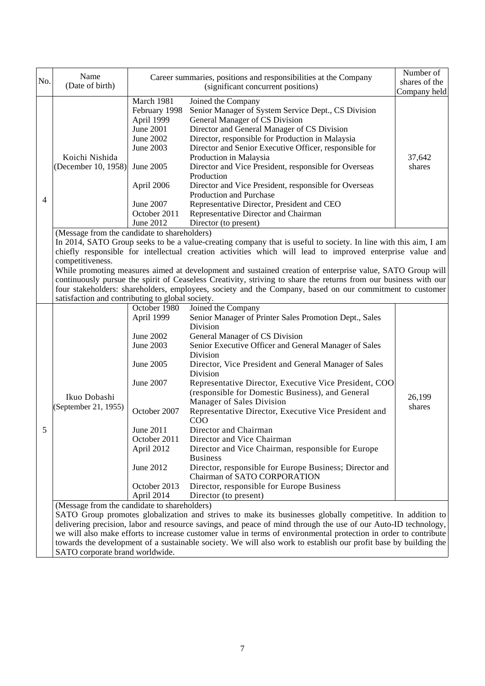| No. | Name<br>(Date of birth)                                                                                                                                                                                                                                                                                                                                                                                                                                                                                                                                                                                                                                                                                                    | Career summaries, positions and responsibilities at the Company<br>(significant concurrent positions)                                                                                |                                                                                                                                                                                                                                                                                                                                                                                                                                                                                                                                                                                                                                                                                                                                                                                                                                                                                                                                                                                                                                                                                                                                                                                                                                                         | Number of<br>shares of the<br>Company held |  |
|-----|----------------------------------------------------------------------------------------------------------------------------------------------------------------------------------------------------------------------------------------------------------------------------------------------------------------------------------------------------------------------------------------------------------------------------------------------------------------------------------------------------------------------------------------------------------------------------------------------------------------------------------------------------------------------------------------------------------------------------|--------------------------------------------------------------------------------------------------------------------------------------------------------------------------------------|---------------------------------------------------------------------------------------------------------------------------------------------------------------------------------------------------------------------------------------------------------------------------------------------------------------------------------------------------------------------------------------------------------------------------------------------------------------------------------------------------------------------------------------------------------------------------------------------------------------------------------------------------------------------------------------------------------------------------------------------------------------------------------------------------------------------------------------------------------------------------------------------------------------------------------------------------------------------------------------------------------------------------------------------------------------------------------------------------------------------------------------------------------------------------------------------------------------------------------------------------------|--------------------------------------------|--|
| 4   | Koichi Nishida<br>(December 10, 1958)                                                                                                                                                                                                                                                                                                                                                                                                                                                                                                                                                                                                                                                                                      | March 1981<br>February 1998<br>April 1999<br><b>June 2001</b><br>June 2002<br>June 2003<br>June 2005<br>April 2006<br>June 2007<br>October 2011<br>June 2012                         | Joined the Company<br>Senior Manager of System Service Dept., CS Division<br>General Manager of CS Division<br>Director and General Manager of CS Division<br>Director, responsible for Production in Malaysia<br>Director and Senior Executive Officer, responsible for<br>Production in Malaysia<br>Director and Vice President, responsible for Overseas<br>Production<br>Director and Vice President, responsible for Overseas<br>Production and Purchase<br>Representative Director, President and CEO<br>Representative Director and Chairman                                                                                                                                                                                                                                                                                                                                                                                                                                                                                                                                                                                                                                                                                                     | 37,642<br>shares                           |  |
|     | Director (to present)<br>(Message from the candidate to shareholders)<br>In 2014, SATO Group seeks to be a value-creating company that is useful to society. In line with this aim, I am<br>chiefly responsible for intellectual creation activities which will lead to improved enterprise value and<br>competitiveness.<br>While promoting measures aimed at development and sustained creation of enterprise value, SATO Group will<br>continuously pursue the spirit of Ceaseless Creativity, striving to share the returns from our business with our<br>four stakeholders: shareholders, employees, society and the Company, based on our commitment to customer<br>satisfaction and contributing to global society. |                                                                                                                                                                                      |                                                                                                                                                                                                                                                                                                                                                                                                                                                                                                                                                                                                                                                                                                                                                                                                                                                                                                                                                                                                                                                                                                                                                                                                                                                         |                                            |  |
| 5   | Ikuo Dobashi<br>(September 21, 1955)<br>(Message from the candidate to shareholders)                                                                                                                                                                                                                                                                                                                                                                                                                                                                                                                                                                                                                                       | October 1980<br>April 1999<br>June 2002<br>June 2003<br>June 2005<br>June 2007<br>October 2007<br>June 2011<br>October 2011<br>April 2012<br>June 2012<br>October 2013<br>April 2014 | Joined the Company<br>Senior Manager of Printer Sales Promotion Dept., Sales<br>Division<br>General Manager of CS Division<br>Senior Executive Officer and General Manager of Sales<br>Division<br>Director, Vice President and General Manager of Sales<br>Division<br>Representative Director, Executive Vice President, COO<br>(responsible for Domestic Business), and General<br>Manager of Sales Division<br>Representative Director, Executive Vice President and<br>COO<br>Director and Chairman<br>Director and Vice Chairman<br>Director and Vice Chairman, responsible for Europe<br><b>Business</b><br>Director, responsible for Europe Business; Director and<br>Chairman of SATO CORPORATION<br>Director, responsible for Europe Business<br>Director (to present)<br>SATO Group promotes globalization and strives to make its businesses globally competitive. In addition to<br>delivering precision, labor and resource savings, and peace of mind through the use of our Auto-ID technology,<br>we will also make efforts to increase customer value in terms of environmental protection in order to contribute<br>towards the development of a sustainable society. We will also work to establish our profit base by building the | 26,199<br>shares                           |  |

SATO corporate brand worldwide.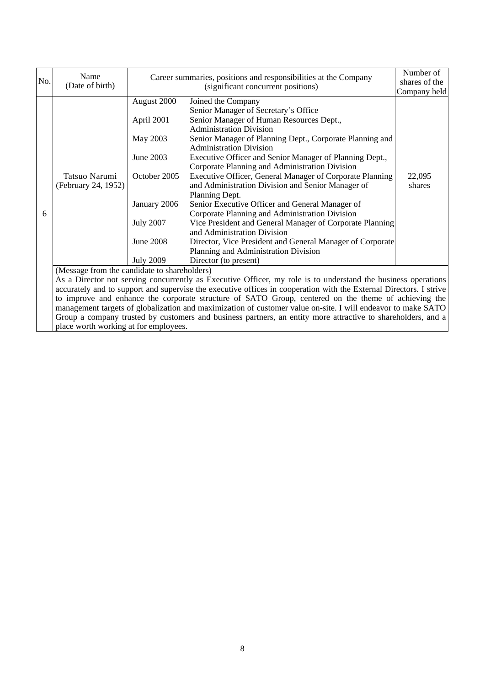| No. | Name<br>(Date of birth)                                                                                            | Career summaries, positions and responsibilities at the Company<br>(significant concurrent positions) |                                                                                                              | Number of<br>shares of the |
|-----|--------------------------------------------------------------------------------------------------------------------|-------------------------------------------------------------------------------------------------------|--------------------------------------------------------------------------------------------------------------|----------------------------|
|     |                                                                                                                    |                                                                                                       | Company held                                                                                                 |                            |
|     |                                                                                                                    | August 2000                                                                                           | Joined the Company                                                                                           |                            |
|     |                                                                                                                    |                                                                                                       | Senior Manager of Secretary's Office                                                                         |                            |
|     |                                                                                                                    | April 2001                                                                                            | Senior Manager of Human Resources Dept.,                                                                     |                            |
|     |                                                                                                                    |                                                                                                       | <b>Administration Division</b>                                                                               |                            |
|     |                                                                                                                    | May 2003                                                                                              | Senior Manager of Planning Dept., Corporate Planning and                                                     |                            |
|     |                                                                                                                    |                                                                                                       | <b>Administration Division</b>                                                                               |                            |
|     |                                                                                                                    | June 2003                                                                                             | Executive Officer and Senior Manager of Planning Dept.,                                                      |                            |
|     |                                                                                                                    |                                                                                                       | Corporate Planning and Administration Division                                                               |                            |
|     | Tatsuo Narumi                                                                                                      | October 2005                                                                                          | Executive Officer, General Manager of Corporate Planning                                                     | 22,095                     |
|     | (February 24, 1952)                                                                                                |                                                                                                       | and Administration Division and Senior Manager of                                                            | shares                     |
|     |                                                                                                                    |                                                                                                       | Planning Dept.                                                                                               |                            |
|     |                                                                                                                    | January 2006                                                                                          | Senior Executive Officer and General Manager of                                                              |                            |
| 6   |                                                                                                                    |                                                                                                       | Corporate Planning and Administration Division                                                               |                            |
|     |                                                                                                                    | <b>July 2007</b>                                                                                      | Vice President and General Manager of Corporate Planning                                                     |                            |
|     |                                                                                                                    |                                                                                                       | and Administration Division                                                                                  |                            |
|     |                                                                                                                    | <b>June 2008</b>                                                                                      | Director, Vice President and General Manager of Corporate                                                    |                            |
|     |                                                                                                                    |                                                                                                       | Planning and Administration Division                                                                         |                            |
|     |                                                                                                                    | <b>July 2009</b>                                                                                      | Director (to present)                                                                                        |                            |
|     | (Message from the candidate to shareholders)                                                                       |                                                                                                       |                                                                                                              |                            |
|     | As a Director not serving concurrently as Executive Officer, my role is to understand the business operations      |                                                                                                       |                                                                                                              |                            |
|     | accurately and to support and supervise the executive offices in cooperation with the External Directors. I strive |                                                                                                       |                                                                                                              |                            |
|     |                                                                                                                    |                                                                                                       | to improve and enhance the corporate structure of SATO Group, centered on the theme of achieving the         |                            |
|     |                                                                                                                    |                                                                                                       | management targets of globalization and maximization of customer value on-site. I will endeavor to make SATO |                            |
|     |                                                                                                                    |                                                                                                       | Group a company trusted by customers and business partners, an entity more attractive to shareholders, and a |                            |

place worth working at for employees.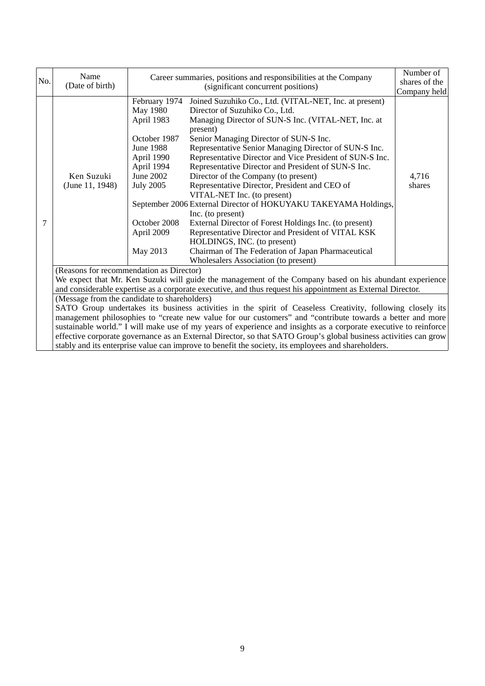| No. | Name<br>(Date of birth)                  | Career summaries, positions and responsibilities at the Company<br>(significant concurrent positions)                                                                                     |                                                                                                                                                                                                                                                                                                                                                                                                                                                                                                                                                                                                                                                                                                                                                                                                                                                | Number of<br>shares of the<br>Company held |
|-----|------------------------------------------|-------------------------------------------------------------------------------------------------------------------------------------------------------------------------------------------|------------------------------------------------------------------------------------------------------------------------------------------------------------------------------------------------------------------------------------------------------------------------------------------------------------------------------------------------------------------------------------------------------------------------------------------------------------------------------------------------------------------------------------------------------------------------------------------------------------------------------------------------------------------------------------------------------------------------------------------------------------------------------------------------------------------------------------------------|--------------------------------------------|
| 7   | Ken Suzuki<br>(June 11, 1948)            | February 1974<br><b>May 1980</b><br>April 1983<br>October 1987<br><b>June 1988</b><br>April 1990<br>April 1994<br>June 2002<br><b>July 2005</b><br>October 2008<br>April 2009<br>May 2013 | Joined Suzuhiko Co., Ltd. (VITAL-NET, Inc. at present)<br>Director of Suzuhiko Co., Ltd.<br>Managing Director of SUN-S Inc. (VITAL-NET, Inc. at<br>present)<br>Senior Managing Director of SUN-S Inc.<br>Representative Senior Managing Director of SUN-S Inc.<br>Representative Director and Vice President of SUN-S Inc.<br>Representative Director and President of SUN-S Inc.<br>Director of the Company (to present)<br>Representative Director, President and CEO of<br>VITAL-NET Inc. (to present)<br>September 2006 External Director of HOKUYAKU TAKEYAMA Holdings,<br>Inc. (to present)<br>External Director of Forest Holdings Inc. (to present)<br>Representative Director and President of VITAL KSK<br>HOLDINGS, INC. (to present)<br>Chairman of The Federation of Japan Pharmaceutical<br>Wholesalers Association (to present) | 4,716<br>shares                            |
|     | (Reasons for recommendation as Director) |                                                                                                                                                                                           | We expect that Mr. Ken Suzuki will guide the management of the Company based on his abundant experience                                                                                                                                                                                                                                                                                                                                                                                                                                                                                                                                                                                                                                                                                                                                        |                                            |
|     |                                          | and considerable expertise as a corporate executive, and thus request his appointment as External Director.                                                                               |                                                                                                                                                                                                                                                                                                                                                                                                                                                                                                                                                                                                                                                                                                                                                                                                                                                |                                            |
|     |                                          | (Message from the candidate to shareholders)                                                                                                                                              |                                                                                                                                                                                                                                                                                                                                                                                                                                                                                                                                                                                                                                                                                                                                                                                                                                                |                                            |
|     |                                          | SATO Group undertakes its business activities in the spirit of Ceaseless Creativity, following closely its                                                                                |                                                                                                                                                                                                                                                                                                                                                                                                                                                                                                                                                                                                                                                                                                                                                                                                                                                |                                            |
|     |                                          | management philosophies to "create new value for our customers" and "contribute towards a better and more                                                                                 |                                                                                                                                                                                                                                                                                                                                                                                                                                                                                                                                                                                                                                                                                                                                                                                                                                                |                                            |
|     |                                          |                                                                                                                                                                                           | sustainable world." I will make use of my years of experience and insights as a corporate executive to reinforce                                                                                                                                                                                                                                                                                                                                                                                                                                                                                                                                                                                                                                                                                                                               |                                            |
|     |                                          |                                                                                                                                                                                           | effective corporate governance as an External Director, so that SATO Group's global business activities can grow<br>stably and its enterprise value can improve to benefit the society, its employees and shareholders.                                                                                                                                                                                                                                                                                                                                                                                                                                                                                                                                                                                                                        |                                            |
|     |                                          |                                                                                                                                                                                           |                                                                                                                                                                                                                                                                                                                                                                                                                                                                                                                                                                                                                                                                                                                                                                                                                                                |                                            |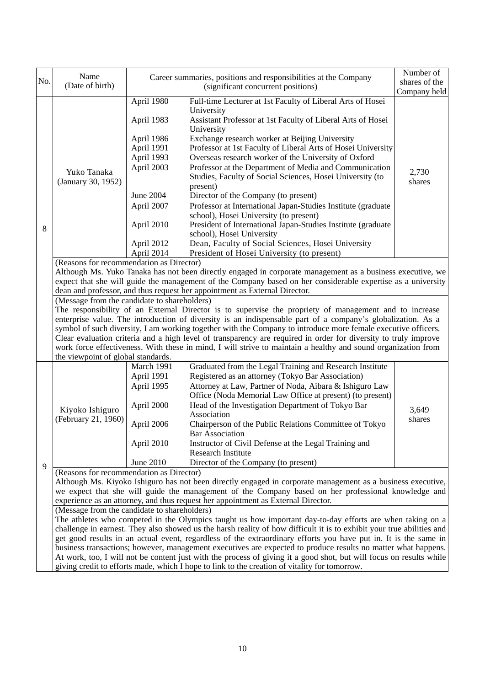| No. | Name                                                                                                                                                                                                                         | Career summaries, positions and responsibilities at the Company |                                                                                                                                                                                                                      | Number of<br>shares of the |  |  |  |
|-----|------------------------------------------------------------------------------------------------------------------------------------------------------------------------------------------------------------------------------|-----------------------------------------------------------------|----------------------------------------------------------------------------------------------------------------------------------------------------------------------------------------------------------------------|----------------------------|--|--|--|
|     | (Date of birth)                                                                                                                                                                                                              | (significant concurrent positions)                              |                                                                                                                                                                                                                      | Company held               |  |  |  |
|     |                                                                                                                                                                                                                              | April 1980                                                      | Full-time Lecturer at 1st Faculty of Liberal Arts of Hosei<br>University                                                                                                                                             |                            |  |  |  |
|     |                                                                                                                                                                                                                              | April 1983                                                      | Assistant Professor at 1st Faculty of Liberal Arts of Hosei<br>University                                                                                                                                            |                            |  |  |  |
|     |                                                                                                                                                                                                                              | April 1986<br>April 1991                                        | Exchange research worker at Beijing University<br>Professor at 1st Faculty of Liberal Arts of Hosei University                                                                                                       |                            |  |  |  |
|     |                                                                                                                                                                                                                              | April 1993                                                      | Overseas research worker of the University of Oxford                                                                                                                                                                 |                            |  |  |  |
|     | Yuko Tanaka<br>(January 30, 1952)                                                                                                                                                                                            | April 2003                                                      | Professor at the Department of Media and Communication                                                                                                                                                               |                            |  |  |  |
|     |                                                                                                                                                                                                                              |                                                                 | Studies, Faculty of Social Sciences, Hosei University (to<br>present)                                                                                                                                                | 2,730<br>shares            |  |  |  |
|     |                                                                                                                                                                                                                              | <b>June 2004</b>                                                | Director of the Company (to present)                                                                                                                                                                                 |                            |  |  |  |
|     |                                                                                                                                                                                                                              | April 2007                                                      | Professor at International Japan-Studies Institute (graduate                                                                                                                                                         |                            |  |  |  |
|     |                                                                                                                                                                                                                              |                                                                 | school), Hosei University (to present)                                                                                                                                                                               |                            |  |  |  |
|     |                                                                                                                                                                                                                              | April 2010                                                      | President of International Japan-Studies Institute (graduate                                                                                                                                                         |                            |  |  |  |
| 8   |                                                                                                                                                                                                                              |                                                                 | school), Hosei University                                                                                                                                                                                            |                            |  |  |  |
|     |                                                                                                                                                                                                                              | April 2012                                                      | Dean, Faculty of Social Sciences, Hosei University                                                                                                                                                                   |                            |  |  |  |
|     |                                                                                                                                                                                                                              | April 2014                                                      | President of Hosei University (to present)                                                                                                                                                                           |                            |  |  |  |
|     | (Reasons for recommendation as Director)                                                                                                                                                                                     |                                                                 |                                                                                                                                                                                                                      |                            |  |  |  |
|     |                                                                                                                                                                                                                              |                                                                 | Although Ms. Yuko Tanaka has not been directly engaged in corporate management as a business executive, we                                                                                                           |                            |  |  |  |
|     |                                                                                                                                                                                                                              |                                                                 | expect that she will guide the management of the Company based on her considerable expertise as a university                                                                                                         |                            |  |  |  |
|     | dean and professor, and thus request her appointment as External Director.                                                                                                                                                   |                                                                 |                                                                                                                                                                                                                      |                            |  |  |  |
|     | (Message from the candidate to shareholders)                                                                                                                                                                                 |                                                                 |                                                                                                                                                                                                                      |                            |  |  |  |
|     |                                                                                                                                                                                                                              |                                                                 | The responsibility of an External Director is to supervise the propriety of management and to increase                                                                                                               |                            |  |  |  |
|     | enterprise value. The introduction of diversity is an indispensable part of a company's globalization. As a<br>symbol of such diversity, I am working together with the Company to introduce more female executive officers. |                                                                 |                                                                                                                                                                                                                      |                            |  |  |  |
|     |                                                                                                                                                                                                                              |                                                                 | Clear evaluation criteria and a high level of transparency are required in order for diversity to truly improve                                                                                                      |                            |  |  |  |
|     |                                                                                                                                                                                                                              |                                                                 |                                                                                                                                                                                                                      |                            |  |  |  |
|     | work force effectiveness. With these in mind, I will strive to maintain a healthy and sound organization from<br>the viewpoint of global standards.                                                                          |                                                                 |                                                                                                                                                                                                                      |                            |  |  |  |
|     |                                                                                                                                                                                                                              | March 1991                                                      | Graduated from the Legal Training and Research Institute                                                                                                                                                             |                            |  |  |  |
|     |                                                                                                                                                                                                                              | April 1991                                                      | Registered as an attorney (Tokyo Bar Association)                                                                                                                                                                    |                            |  |  |  |
|     |                                                                                                                                                                                                                              |                                                                 |                                                                                                                                                                                                                      |                            |  |  |  |
|     |                                                                                                                                                                                                                              |                                                                 |                                                                                                                                                                                                                      |                            |  |  |  |
|     |                                                                                                                                                                                                                              | April 1995                                                      | Attorney at Law, Partner of Noda, Aibara & Ishiguro Law                                                                                                                                                              |                            |  |  |  |
|     |                                                                                                                                                                                                                              |                                                                 | Office (Noda Memorial Law Office at present) (to present)                                                                                                                                                            |                            |  |  |  |
|     | Kiyoko Ishiguro                                                                                                                                                                                                              | April 2000                                                      | Head of the Investigation Department of Tokyo Bar<br>Association                                                                                                                                                     | 3,649                      |  |  |  |
|     | (February 21, 1960)                                                                                                                                                                                                          | April 2006                                                      | Chairperson of the Public Relations Committee of Tokyo                                                                                                                                                               | shares                     |  |  |  |
|     |                                                                                                                                                                                                                              |                                                                 | <b>Bar Association</b>                                                                                                                                                                                               |                            |  |  |  |
|     |                                                                                                                                                                                                                              | April 2010                                                      | Instructor of Civil Defense at the Legal Training and<br><b>Research Institute</b>                                                                                                                                   |                            |  |  |  |
|     |                                                                                                                                                                                                                              | June 2010                                                       | Director of the Company (to present)                                                                                                                                                                                 |                            |  |  |  |
| 9   | (Reasons for recommendation as Director)                                                                                                                                                                                     |                                                                 |                                                                                                                                                                                                                      |                            |  |  |  |
|     |                                                                                                                                                                                                                              |                                                                 | Although Ms. Kiyoko Ishiguro has not been directly engaged in corporate management as a business executive,                                                                                                          |                            |  |  |  |
|     |                                                                                                                                                                                                                              |                                                                 | we expect that she will guide the management of the Company based on her professional knowledge and                                                                                                                  |                            |  |  |  |
|     |                                                                                                                                                                                                                              |                                                                 | experience as an attorney, and thus request her appointment as External Director.                                                                                                                                    |                            |  |  |  |
|     | (Message from the candidate to shareholders)                                                                                                                                                                                 |                                                                 |                                                                                                                                                                                                                      |                            |  |  |  |
|     |                                                                                                                                                                                                                              |                                                                 | The athletes who competed in the Olympics taught us how important day-to-day efforts are when taking on a                                                                                                            |                            |  |  |  |
|     |                                                                                                                                                                                                                              |                                                                 | challenge in earnest. They also showed us the harsh reality of how difficult it is to exhibit your true abilities and                                                                                                |                            |  |  |  |
|     |                                                                                                                                                                                                                              |                                                                 | get good results in an actual event, regardless of the extraordinary efforts you have put in. It is the same in                                                                                                      |                            |  |  |  |
|     |                                                                                                                                                                                                                              |                                                                 | business transactions; however, management executives are expected to produce results no matter what happens.                                                                                                        |                            |  |  |  |
|     |                                                                                                                                                                                                                              |                                                                 | At work, too, I will not be content just with the process of giving it a good shot, but will focus on results while<br>giving credit to efforts made, which I hope to link to the creation of vitality for tomorrow. |                            |  |  |  |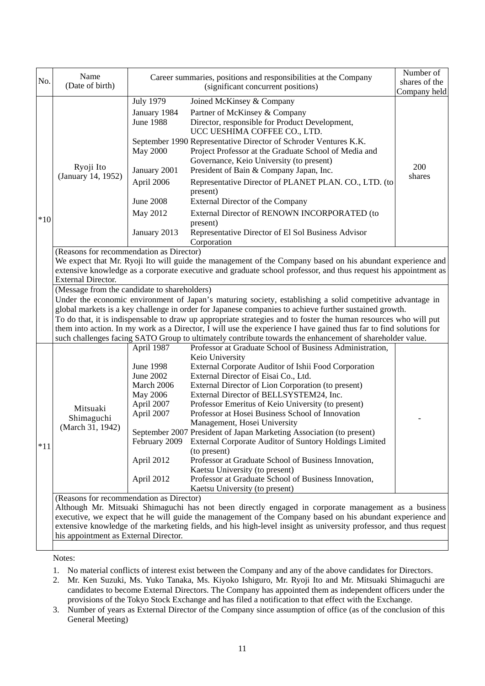| No.   | Name<br>(Date of birth)                                                                                                                                                                                                        | Career summaries, positions and responsibilities at the Company<br>(significant concurrent positions) |                                                                                                                                                                       | Number of<br>shares of the<br>Company held |  |  |
|-------|--------------------------------------------------------------------------------------------------------------------------------------------------------------------------------------------------------------------------------|-------------------------------------------------------------------------------------------------------|-----------------------------------------------------------------------------------------------------------------------------------------------------------------------|--------------------------------------------|--|--|
|       |                                                                                                                                                                                                                                | <b>July 1979</b><br>January 1984<br><b>June 1988</b>                                                  | Joined McKinsey & Company<br>Partner of McKinsey & Company<br>Director, responsible for Product Development,<br>UCC UESHIMA COFFEE CO., LTD.                          |                                            |  |  |
|       | Ryoji Ito                                                                                                                                                                                                                      | <b>May 2000</b>                                                                                       | September 1990 Representative Director of Schroder Ventures K.K.<br>Project Professor at the Graduate School of Media and<br>Governance, Keio University (to present) | 200                                        |  |  |
|       | (January 14, 1952)                                                                                                                                                                                                             | January 2001<br>April 2006                                                                            | President of Bain & Company Japan, Inc.<br>Representative Director of PLANET PLAN. CO., LTD. (to<br>present)                                                          | shares                                     |  |  |
|       |                                                                                                                                                                                                                                | <b>June 2008</b>                                                                                      | External Director of the Company                                                                                                                                      |                                            |  |  |
| $*10$ |                                                                                                                                                                                                                                | May 2012                                                                                              | External Director of RENOWN INCORPORATED (to<br>present)                                                                                                              |                                            |  |  |
|       |                                                                                                                                                                                                                                | January 2013                                                                                          | Representative Director of El Sol Business Advisor<br>Corporation                                                                                                     |                                            |  |  |
|       | (Reasons for recommendation as Director)                                                                                                                                                                                       |                                                                                                       | We expect that Mr. Ryoji Ito will guide the management of the Company based on his abundant experience and                                                            |                                            |  |  |
|       |                                                                                                                                                                                                                                |                                                                                                       |                                                                                                                                                                       |                                            |  |  |
|       | extensive knowledge as a corporate executive and graduate school professor, and thus request his appointment as<br><b>External Director.</b>                                                                                   |                                                                                                       |                                                                                                                                                                       |                                            |  |  |
|       | (Message from the candidate to shareholders)                                                                                                                                                                                   |                                                                                                       |                                                                                                                                                                       |                                            |  |  |
|       | Under the economic environment of Japan's maturing society, establishing a solid competitive advantage in                                                                                                                      |                                                                                                       |                                                                                                                                                                       |                                            |  |  |
|       |                                                                                                                                                                                                                                |                                                                                                       | global markets is a key challenge in order for Japanese companies to achieve further sustained growth.                                                                |                                            |  |  |
|       | To do that, it is indispensable to draw up appropriate strategies and to foster the human resources who will put                                                                                                               |                                                                                                       |                                                                                                                                                                       |                                            |  |  |
|       | them into action. In my work as a Director, I will use the experience I have gained thus far to find solutions for<br>such challenges facing SATO Group to ultimately contribute towards the enhancement of shareholder value. |                                                                                                       |                                                                                                                                                                       |                                            |  |  |
|       |                                                                                                                                                                                                                                | April 1987                                                                                            | Professor at Graduate School of Business Administration,                                                                                                              |                                            |  |  |
|       |                                                                                                                                                                                                                                |                                                                                                       | Keio University                                                                                                                                                       |                                            |  |  |
|       |                                                                                                                                                                                                                                | <b>June 1998</b>                                                                                      | External Corporate Auditor of Ishii Food Corporation                                                                                                                  |                                            |  |  |
|       |                                                                                                                                                                                                                                | June 2002                                                                                             | External Director of Eisai Co., Ltd.                                                                                                                                  |                                            |  |  |
|       |                                                                                                                                                                                                                                | March 2006<br>May 2006                                                                                | External Director of Lion Corporation (to present)<br>External Director of BELLSYSTEM24, Inc.                                                                         |                                            |  |  |
|       |                                                                                                                                                                                                                                | April 2007                                                                                            | Professor Emeritus of Keio University (to present)                                                                                                                    |                                            |  |  |
|       | Mitsuaki                                                                                                                                                                                                                       | April 2007                                                                                            | Professor at Hosei Business School of Innovation                                                                                                                      |                                            |  |  |
|       | Shimaguchi                                                                                                                                                                                                                     |                                                                                                       | Management, Hosei University                                                                                                                                          |                                            |  |  |
|       | (March 31, 1942)                                                                                                                                                                                                               |                                                                                                       | September 2007 President of Japan Marketing Association (to present)                                                                                                  |                                            |  |  |
| $*11$ |                                                                                                                                                                                                                                | February 2009                                                                                         | External Corporate Auditor of Suntory Holdings Limited                                                                                                                |                                            |  |  |
|       |                                                                                                                                                                                                                                |                                                                                                       | (to present)                                                                                                                                                          |                                            |  |  |
|       |                                                                                                                                                                                                                                | April 2012                                                                                            | Professor at Graduate School of Business Innovation,                                                                                                                  |                                            |  |  |
|       |                                                                                                                                                                                                                                | April 2012                                                                                            | Kaetsu University (to present)<br>Professor at Graduate School of Business Innovation,                                                                                |                                            |  |  |
|       |                                                                                                                                                                                                                                |                                                                                                       | Kaetsu University (to present)                                                                                                                                        |                                            |  |  |
|       | (Reasons for recommendation as Director)                                                                                                                                                                                       |                                                                                                       |                                                                                                                                                                       |                                            |  |  |
|       |                                                                                                                                                                                                                                |                                                                                                       | Although Mr. Mitsuaki Shimaguchi has not been directly engaged in corporate management as a business                                                                  |                                            |  |  |
|       | executive, we expect that he will guide the management of the Company based on his abundant experience and                                                                                                                     |                                                                                                       |                                                                                                                                                                       |                                            |  |  |
|       |                                                                                                                                                                                                                                |                                                                                                       | extensive knowledge of the marketing fields, and his high-level insight as university professor, and thus request                                                     |                                            |  |  |
|       | his appointment as External Director.                                                                                                                                                                                          |                                                                                                       |                                                                                                                                                                       |                                            |  |  |

Notes:

- 1. No material conflicts of interest exist between the Company and any of the above candidates for Directors.
- 2. Mr. Ken Suzuki, Ms. Yuko Tanaka, Ms. Kiyoko Ishiguro, Mr. Ryoji Ito and Mr. Mitsuaki Shimaguchi are candidates to become External Directors. The Company has appointed them as independent officers under the provisions of the Tokyo Stock Exchange and has filed a notification to that effect with the Exchange.
- 3. Number of years as External Director of the Company since assumption of office (as of the conclusion of this General Meeting)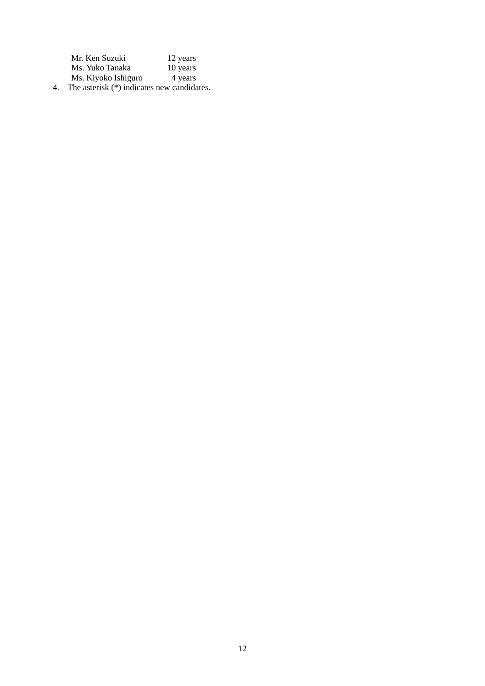| Mr. Ken Suzuki      | 12 years |
|---------------------|----------|
| Ms. Yuko Tanaka     | 10 years |
| Ms. Kiyoko Ishiguro | 4 years  |
|                     |          |

4. The asterisk (\*) indicates new candidates.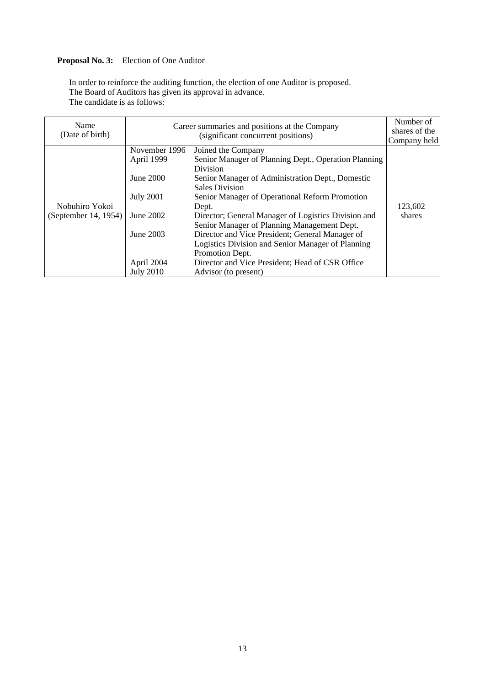## **Proposal No. 3:** Election of One Auditor

In order to reinforce the auditing function, the election of one Auditor is proposed. The Board of Auditors has given its approval in advance. The candidate is as follows:

| Name<br>(Date of birth)                |                                                                                                                          | Career summaries and positions at the Company<br>(significant concurrent positions)                                                                                                                                                                                                                                                                                                                                                                                                                                                               | Number of<br>shares of the<br>Company held |
|----------------------------------------|--------------------------------------------------------------------------------------------------------------------------|---------------------------------------------------------------------------------------------------------------------------------------------------------------------------------------------------------------------------------------------------------------------------------------------------------------------------------------------------------------------------------------------------------------------------------------------------------------------------------------------------------------------------------------------------|--------------------------------------------|
| Nobuhiro Yokoi<br>(September 14, 1954) | November 1996<br>April 1999<br>June 2000<br><b>July 2001</b><br>June 2002<br>June 2003<br>April 2004<br><b>July 2010</b> | Joined the Company<br>Senior Manager of Planning Dept., Operation Planning<br><b>Division</b><br>Senior Manager of Administration Dept., Domestic<br><b>Sales Division</b><br>Senior Manager of Operational Reform Promotion<br>Dept.<br>Director; General Manager of Logistics Division and<br>Senior Manager of Planning Management Dept.<br>Director and Vice President; General Manager of<br>Logistics Division and Senior Manager of Planning<br>Promotion Dept.<br>Director and Vice President; Head of CSR Office<br>Advisor (to present) | 123,602<br>shares                          |